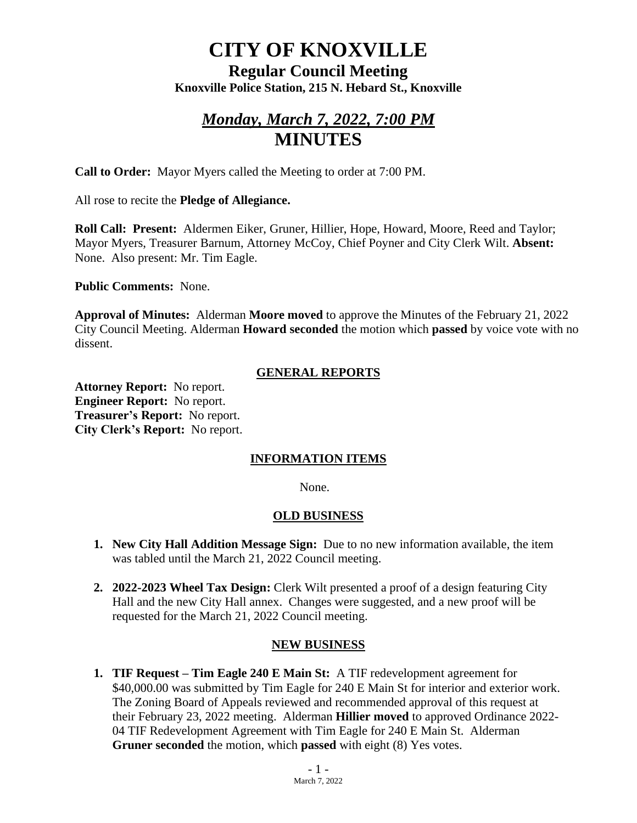# **CITY OF KNOXVILLE**

**Regular Council Meeting Knoxville Police Station, 215 N. Hebard St., Knoxville**

## *Monday, March 7, 2022, 7:00 PM* **MINUTES**

**Call to Order:** Mayor Myers called the Meeting to order at 7:00 PM.

All rose to recite the **Pledge of Allegiance.**

**Roll Call: Present:** Aldermen Eiker, Gruner, Hillier, Hope, Howard, Moore, Reed and Taylor; Mayor Myers, Treasurer Barnum, Attorney McCoy, Chief Poyner and City Clerk Wilt. **Absent:** None. Also present: Mr. Tim Eagle.

**Public Comments:** None.

**Approval of Minutes:** Alderman **Moore moved** to approve the Minutes of the February 21, 2022 City Council Meeting. Alderman **Howard seconded** the motion which **passed** by voice vote with no dissent.

#### **GENERAL REPORTS**

**Attorney Report:** No report. **Engineer Report:** No report. **Treasurer's Report:** No report. **City Clerk's Report:** No report.

#### **INFORMATION ITEMS**

None.

#### **OLD BUSINESS**

- **1. New City Hall Addition Message Sign:** Due to no new information available, the item was tabled until the March 21, 2022 Council meeting.
- **2. 2022-2023 Wheel Tax Design:** Clerk Wilt presented a proof of a design featuring City Hall and the new City Hall annex. Changes were suggested, and a new proof will be requested for the March 21, 2022 Council meeting.

#### **NEW BUSINESS**

**1. TIF Request – Tim Eagle 240 E Main St:** A TIF redevelopment agreement for \$40,000.00 was submitted by Tim Eagle for 240 E Main St for interior and exterior work. The Zoning Board of Appeals reviewed and recommended approval of this request at their February 23, 2022 meeting. Alderman **Hillier moved** to approved Ordinance 2022- 04 TIF Redevelopment Agreement with Tim Eagle for 240 E Main St. Alderman **Gruner seconded** the motion, which **passed** with eight (8) Yes votes.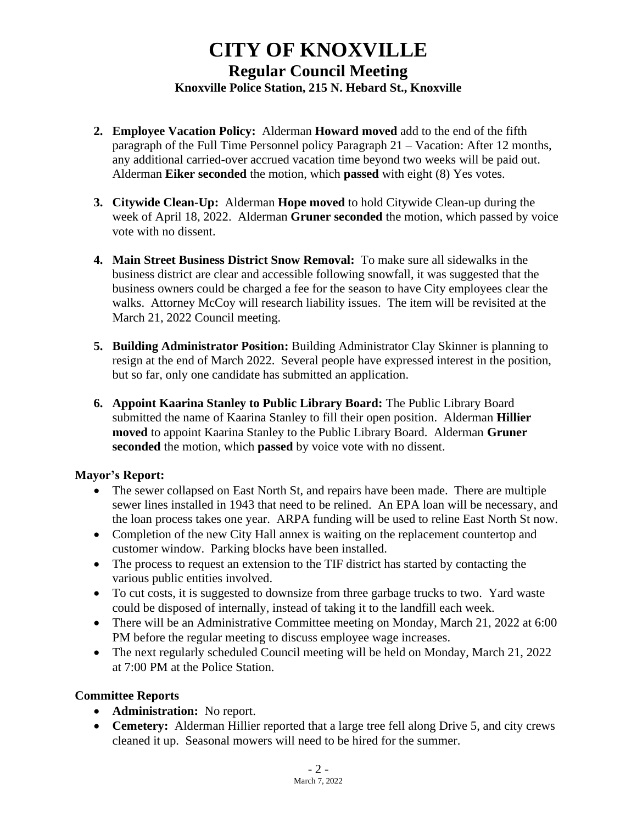### **CITY OF KNOXVILLE Regular Council Meeting Knoxville Police Station, 215 N. Hebard St., Knoxville**

- **2. Employee Vacation Policy:** Alderman **Howard moved** add to the end of the fifth paragraph of the Full Time Personnel policy Paragraph 21 – Vacation: After 12 months, any additional carried-over accrued vacation time beyond two weeks will be paid out. Alderman **Eiker seconded** the motion, which **passed** with eight (8) Yes votes.
- **3. Citywide Clean-Up:** Alderman **Hope moved** to hold Citywide Clean-up during the week of April 18, 2022. Alderman **Gruner seconded** the motion, which passed by voice vote with no dissent.
- **4. Main Street Business District Snow Removal:** To make sure all sidewalks in the business district are clear and accessible following snowfall, it was suggested that the business owners could be charged a fee for the season to have City employees clear the walks. Attorney McCoy will research liability issues. The item will be revisited at the March 21, 2022 Council meeting.
- **5. Building Administrator Position:** Building Administrator Clay Skinner is planning to resign at the end of March 2022. Several people have expressed interest in the position, but so far, only one candidate has submitted an application.
- **6. Appoint Kaarina Stanley to Public Library Board:** The Public Library Board submitted the name of Kaarina Stanley to fill their open position. Alderman **Hillier moved** to appoint Kaarina Stanley to the Public Library Board. Alderman **Gruner seconded** the motion, which **passed** by voice vote with no dissent.

#### **Mayor's Report:**

- The sewer collapsed on East North St, and repairs have been made. There are multiple sewer lines installed in 1943 that need to be relined. An EPA loan will be necessary, and the loan process takes one year. ARPA funding will be used to reline East North St now.
- Completion of the new City Hall annex is waiting on the replacement countertop and customer window. Parking blocks have been installed.
- The process to request an extension to the TIF district has started by contacting the various public entities involved.
- To cut costs, it is suggested to downsize from three garbage trucks to two. Yard waste could be disposed of internally, instead of taking it to the landfill each week.
- There will be an Administrative Committee meeting on Monday, March 21, 2022 at 6:00 PM before the regular meeting to discuss employee wage increases.
- The next regularly scheduled Council meeting will be held on Monday, March 21, 2022 at 7:00 PM at the Police Station.

#### **Committee Reports**

- **Administration:** No report.
- **Cemetery:** Alderman Hillier reported that a large tree fell along Drive 5, and city crews cleaned it up. Seasonal mowers will need to be hired for the summer.